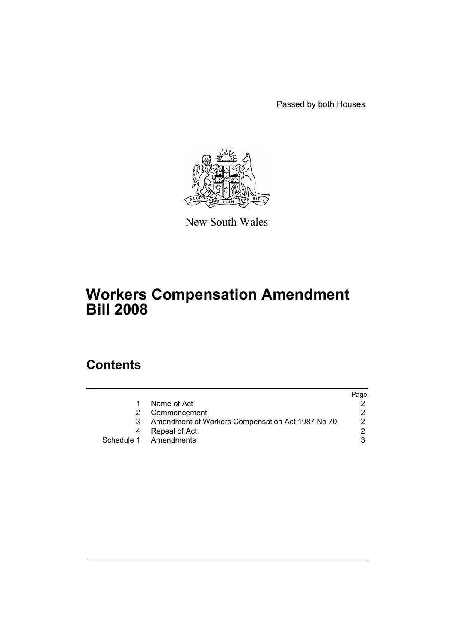Passed by both Houses



New South Wales

# **Workers Compensation Amendment Bill 2008**

## **Contents**

|   |                                                  | Page |
|---|--------------------------------------------------|------|
|   | Name of Act                                      |      |
|   | Commencement                                     |      |
| 3 | Amendment of Workers Compensation Act 1987 No 70 |      |
| 4 | Repeal of Act                                    |      |
|   | Schedule 1 Amendments                            |      |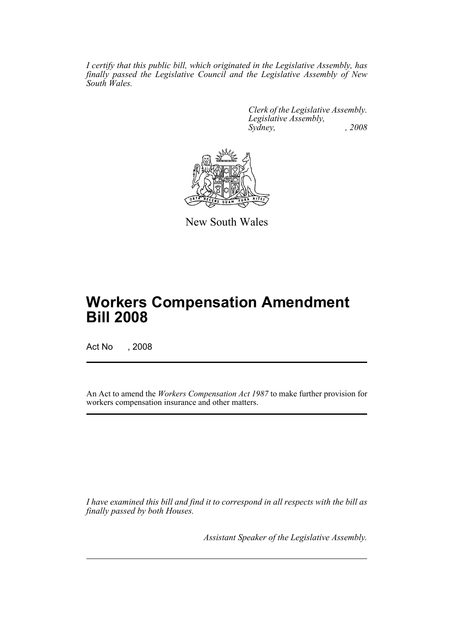*I certify that this public bill, which originated in the Legislative Assembly, has finally passed the Legislative Council and the Legislative Assembly of New South Wales.*

> *Clerk of the Legislative Assembly. Legislative Assembly, Sydney, , 2008*



New South Wales

# **Workers Compensation Amendment Bill 2008**

Act No , 2008

An Act to amend the *Workers Compensation Act 1987* to make further provision for workers compensation insurance and other matters.

*I have examined this bill and find it to correspond in all respects with the bill as finally passed by both Houses.*

*Assistant Speaker of the Legislative Assembly.*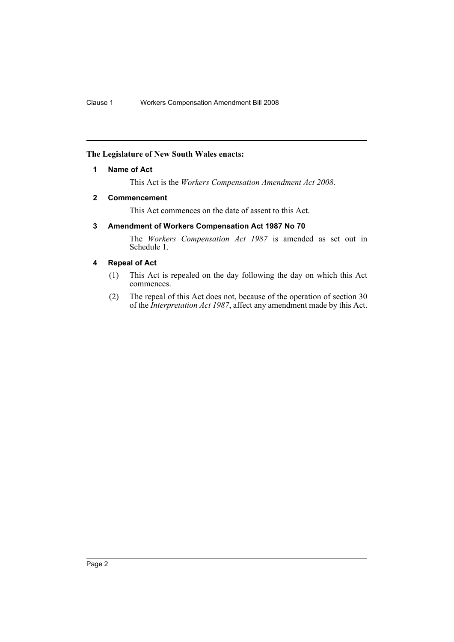## <span id="page-2-0"></span>**The Legislature of New South Wales enacts:**

#### **1 Name of Act**

This Act is the *Workers Compensation Amendment Act 2008*.

#### <span id="page-2-1"></span>**2 Commencement**

This Act commences on the date of assent to this Act.

## <span id="page-2-2"></span>**3 Amendment of Workers Compensation Act 1987 No 70**

The *Workers Compensation Act 1987* is amended as set out in Schedule 1.

### <span id="page-2-3"></span>**4 Repeal of Act**

- (1) This Act is repealed on the day following the day on which this Act commences.
- (2) The repeal of this Act does not, because of the operation of section 30 of the *Interpretation Act 1987*, affect any amendment made by this Act.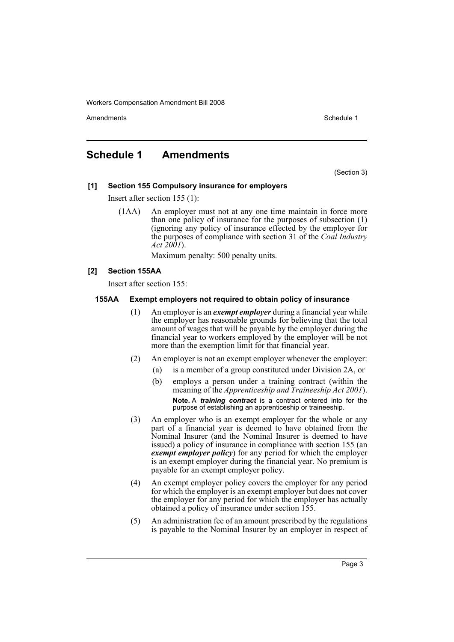Amendments **Amendments** Schedule 1

## <span id="page-3-0"></span>**Schedule 1 Amendments**

(Section 3)

#### **[1] Section 155 Compulsory insurance for employers**

Insert after section 155 (1):

(1AA) An employer must not at any one time maintain in force more than one policy of insurance for the purposes of subsection (1) (ignoring any policy of insurance effected by the employer for the purposes of compliance with section 31 of the *Coal Industry Act 2001*).

Maximum penalty: 500 penalty units.

#### **[2] Section 155AA**

Insert after section 155:

#### **155AA Exempt employers not required to obtain policy of insurance**

- (1) An employer is an *exempt employer* during a financial year while the employer has reasonable grounds for believing that the total amount of wages that will be payable by the employer during the financial year to workers employed by the employer will be not more than the exemption limit for that financial year.
- (2) An employer is not an exempt employer whenever the employer:
	- (a) is a member of a group constituted under Division 2A, or
	- (b) employs a person under a training contract (within the meaning of the *Apprenticeship and Traineeship Act 2001*). **Note.** A *training contract* is a contract entered into for the purpose of establishing an apprenticeship or traineeship.
- (3) An employer who is an exempt employer for the whole or any part of a financial year is deemed to have obtained from the Nominal Insurer (and the Nominal Insurer is deemed to have issued) a policy of insurance in compliance with section 155 (an *exempt employer policy*) for any period for which the employer is an exempt employer during the financial year. No premium is payable for an exempt employer policy.
- (4) An exempt employer policy covers the employer for any period for which the employer is an exempt employer but does not cover the employer for any period for which the employer has actually obtained a policy of insurance under section 155.
- (5) An administration fee of an amount prescribed by the regulations is payable to the Nominal Insurer by an employer in respect of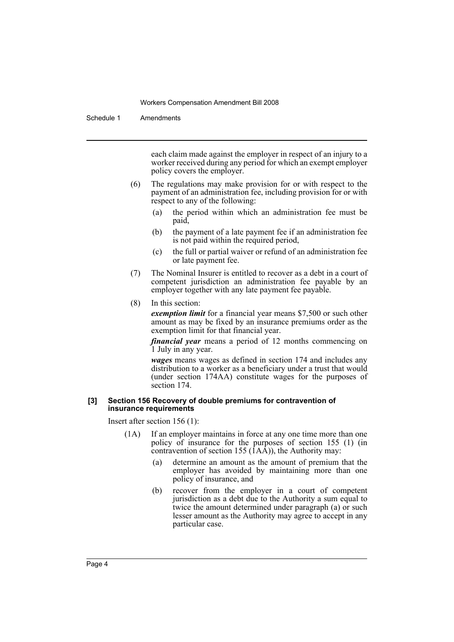Schedule 1 Amendments

each claim made against the employer in respect of an injury to a worker received during any period for which an exempt employer policy covers the employer.

- (6) The regulations may make provision for or with respect to the payment of an administration fee, including provision for or with respect to any of the following:
	- (a) the period within which an administration fee must be paid,
	- (b) the payment of a late payment fee if an administration fee is not paid within the required period,
	- (c) the full or partial waiver or refund of an administration fee or late payment fee.
- (7) The Nominal Insurer is entitled to recover as a debt in a court of competent jurisdiction an administration fee payable by an employer together with any late payment fee payable.
- (8) In this section:

*exemption limit* for a financial year means \$7,500 or such other amount as may be fixed by an insurance premiums order as the exemption limit for that financial year.

*financial year* means a period of 12 months commencing on 1 July in any year.

*wages* means wages as defined in section 174 and includes any distribution to a worker as a beneficiary under a trust that would (under section 174AA) constitute wages for the purposes of section 174.

#### **[3] Section 156 Recovery of double premiums for contravention of insurance requirements**

Insert after section 156 (1):

- (1A) If an employer maintains in force at any one time more than one policy of insurance for the purposes of section 155 (1) (in contravention of section 155  $(\hat{I}A\hat{A})$ , the Authority may:
	- (a) determine an amount as the amount of premium that the employer has avoided by maintaining more than one policy of insurance, and
	- (b) recover from the employer in a court of competent jurisdiction as a debt due to the Authority a sum equal to twice the amount determined under paragraph (a) or such lesser amount as the Authority may agree to accept in any particular case.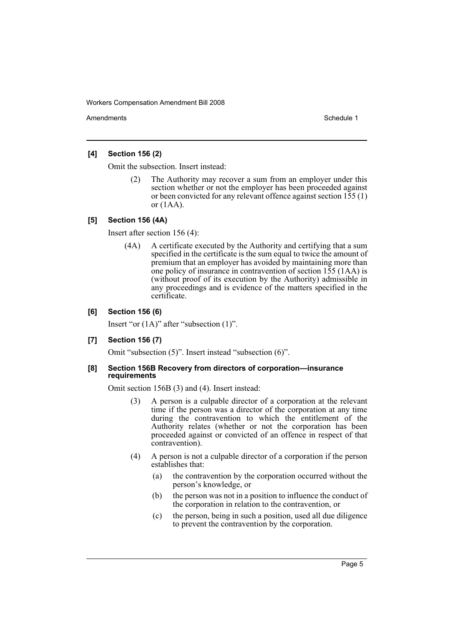Amendments **Amendments** Schedule 1

### **[4] Section 156 (2)**

Omit the subsection. Insert instead:

(2) The Authority may recover a sum from an employer under this section whether or not the employer has been proceeded against or been convicted for any relevant offence against section 155 (1) or (1AA).

#### **[5] Section 156 (4A)**

Insert after section 156 (4):

(4A) A certificate executed by the Authority and certifying that a sum specified in the certificate is the sum equal to twice the amount of premium that an employer has avoided by maintaining more than one policy of insurance in contravention of section 155 (1AA) is (without proof of its execution by the Authority) admissible in any proceedings and is evidence of the matters specified in the certificate.

#### **[6] Section 156 (6)**

Insert "or (1A)" after "subsection (1)".

#### **[7] Section 156 (7)**

Omit "subsection (5)". Insert instead "subsection (6)".

#### **[8] Section 156B Recovery from directors of corporation—insurance requirements**

Omit section 156B (3) and (4). Insert instead:

- (3) A person is a culpable director of a corporation at the relevant time if the person was a director of the corporation at any time during the contravention to which the entitlement of the Authority relates (whether or not the corporation has been proceeded against or convicted of an offence in respect of that contravention).
- (4) A person is not a culpable director of a corporation if the person establishes that:
	- (a) the contravention by the corporation occurred without the person's knowledge, or
	- (b) the person was not in a position to influence the conduct of the corporation in relation to the contravention, or
	- (c) the person, being in such a position, used all due diligence to prevent the contravention by the corporation.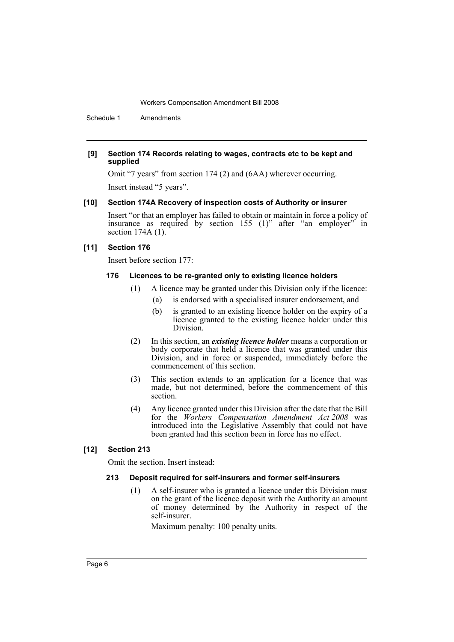Schedule 1 Amendments

#### **[9] Section 174 Records relating to wages, contracts etc to be kept and supplied**

Omit "7 years" from section 174 (2) and (6AA) wherever occurring.

Insert instead "5 years".

#### **[10] Section 174A Recovery of inspection costs of Authority or insurer**

Insert "or that an employer has failed to obtain or maintain in force a policy of insurance as required by section 155 (1)" after "an employer" in section 174A (1).

#### **[11] Section 176**

Insert before section 177:

#### **176 Licences to be re-granted only to existing licence holders**

- (1) A licence may be granted under this Division only if the licence:
	- (a) is endorsed with a specialised insurer endorsement, and
	- (b) is granted to an existing licence holder on the expiry of a licence granted to the existing licence holder under this Division.
- (2) In this section, an *existing licence holder* means a corporation or body corporate that held a licence that was granted under this Division, and in force or suspended, immediately before the commencement of this section.
- (3) This section extends to an application for a licence that was made, but not determined, before the commencement of this section.
- (4) Any licence granted under this Division after the date that the Bill for the *Workers Compensation Amendment Act 2008* was introduced into the Legislative Assembly that could not have been granted had this section been in force has no effect.

## **[12] Section 213**

Omit the section. Insert instead:

#### **213 Deposit required for self-insurers and former self-insurers**

(1) A self-insurer who is granted a licence under this Division must on the grant of the licence deposit with the Authority an amount of money determined by the Authority in respect of the self-insurer.

Maximum penalty: 100 penalty units.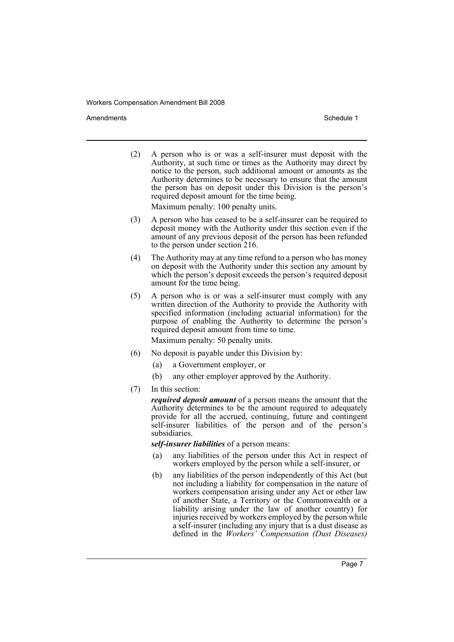Amendments **Amendments** Schedule 1

(2) A person who is or was a self-insurer must deposit with the Authority, at such time or times as the Authority may direct by notice to the person, such additional amount or amounts as the Authority determines to be necessary to ensure that the amount the person has on deposit under this Division is the person's required deposit amount for the time being.

Maximum penalty: 100 penalty units.

- (3) A person who has ceased to be a self-insurer can be required to deposit money with the Authority under this section even if the amount of any previous deposit of the person has been refunded to the person under section 216.
- (4) The Authority may at any time refund to a person who has money on deposit with the Authority under this section any amount by which the person's deposit exceeds the person's required deposit amount for the time being.
- (5) A person who is or was a self-insurer must comply with any written direction of the Authority to provide the Authority with specified information (including actuarial information) for the purpose of enabling the Authority to determine the person's required deposit amount from time to time.

Maximum penalty: 50 penalty units.

- (6) No deposit is payable under this Division by:
	- (a) a Government employer, or
	- (b) any other employer approved by the Authority.
- (7) In this section:

*required deposit amount* of a person means the amount that the Authority determines to be the amount required to adequately provide for all the accrued, continuing, future and contingent self-insurer liabilities of the person and of the person's subsidiaries.

*self-insurer liabilities* of a person means:

- (a) any liabilities of the person under this Act in respect of workers employed by the person while a self-insurer, or
- (b) any liabilities of the person independently of this Act (but not including a liability for compensation in the nature of workers compensation arising under any Act or other law of another State, a Territory or the Commonwealth or a liability arising under the law of another country) for injuries received by workers employed by the person while a self-insurer (including any injury that is a dust disease as defined in the *Workers' Compensation (Dust Diseases)*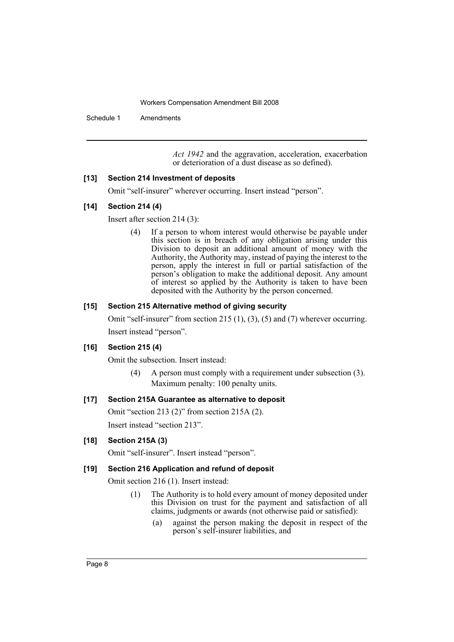Schedule 1 Amendments

*Act 1942* and the aggravation, acceleration, exacerbation or deterioration of a dust disease as so defined).

## **[13] Section 214 Investment of deposits**

Omit "self-insurer" wherever occurring. Insert instead "person".

#### **[14] Section 214 (4)**

Insert after section 214 (3):

(4) If a person to whom interest would otherwise be payable under this section is in breach of any obligation arising under this Division to deposit an additional amount of money with the Authority, the Authority may, instead of paying the interest to the person, apply the interest in full or partial satisfaction of the person's obligation to make the additional deposit. Any amount of interest so applied by the Authority is taken to have been deposited with the Authority by the person concerned.

#### **[15] Section 215 Alternative method of giving security**

Omit "self-insurer" from section 215 (1), (3), (5) and (7) wherever occurring. Insert instead "person".

## **[16] Section 215 (4)**

Omit the subsection. Insert instead:

(4) A person must comply with a requirement under subsection (3). Maximum penalty: 100 penalty units.

## **[17] Section 215A Guarantee as alternative to deposit**

Omit "section 213 (2)" from section 215A (2).

Insert instead "section 213".

## **[18] Section 215A (3)**

Omit "self-insurer". Insert instead "person".

#### **[19] Section 216 Application and refund of deposit**

Omit section 216 (1). Insert instead:

- (1) The Authority is to hold every amount of money deposited under this Division on trust for the payment and satisfaction of all claims, judgments or awards (not otherwise paid or satisfied):
	- (a) against the person making the deposit in respect of the person's self-insurer liabilities, and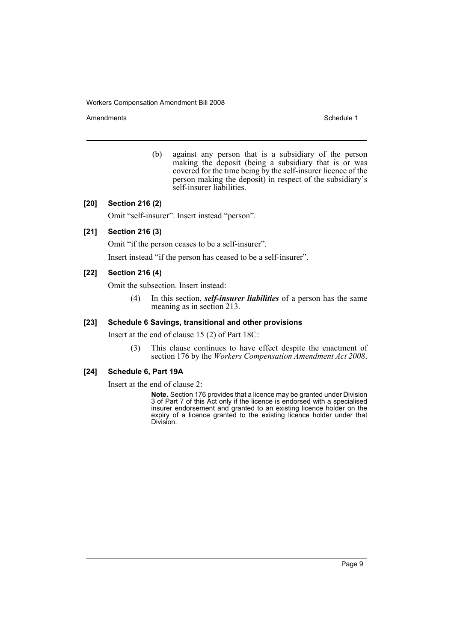Amendments **Schedule 1** and the set of the set of the set of the set of the set of the set of the set of the set of the set of the set of the set of the set of the set of the set of the set of the set of the set of the set

(b) against any person that is a subsidiary of the person making the deposit (being a subsidiary that is or was covered for the time being by the self-insurer licence of the person making the deposit) in respect of the subsidiary's self-insurer liabilities.

#### **[20] Section 216 (2)**

Omit "self-insurer". Insert instead "person".

### **[21] Section 216 (3)**

Omit "if the person ceases to be a self-insurer".

Insert instead "if the person has ceased to be a self-insurer".

#### **[22] Section 216 (4)**

Omit the subsection. Insert instead:

(4) In this section, *self-insurer liabilities* of a person has the same meaning as in section 213.

## **[23] Schedule 6 Savings, transitional and other provisions**

Insert at the end of clause 15 (2) of Part 18C:

(3) This clause continues to have effect despite the enactment of section 176 by the *Workers Compensation Amendment Act 2008*.

#### **[24] Schedule 6, Part 19A**

Insert at the end of clause 2:

**Note.** Section 176 provides that a licence may be granted under Division 3 of Part 7 of this Act only if the licence is endorsed with a specialised insurer endorsement and granted to an existing licence holder on the expiry of a licence granted to the existing licence holder under that Division.